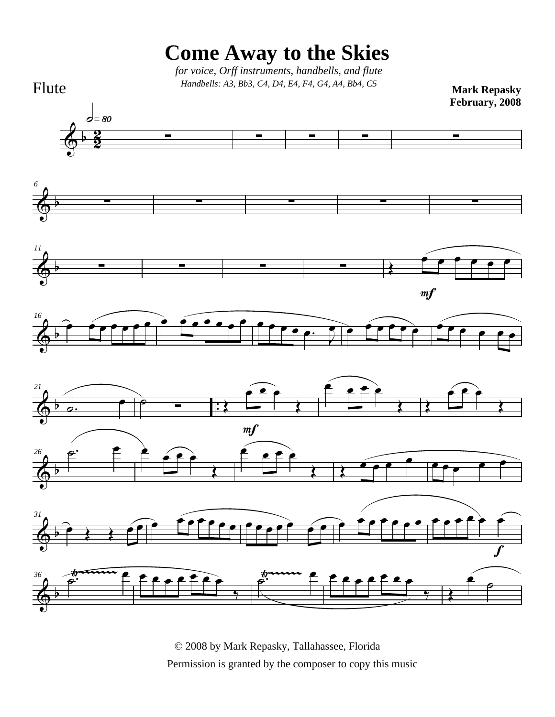

© 2008 by Mark Repasky, Tallahassee, Florida Permission is granted by the composer to copy this music